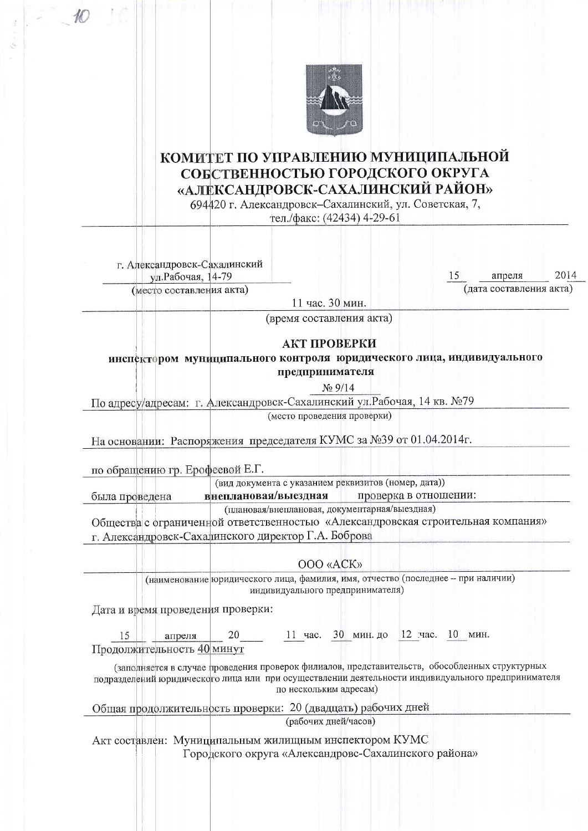

## КОМИТЕТ ПО УПРАВЛЕНИЮ МУНИЦИПАЛЬНОЙ СОБСТВЕННОСТЬЮ ГОРОДСКОГО ОКРУГА «АЛЕКСАНДРОВСК-САХАЛИНСКИЙ РАЙОН»

694420 г. Александровск-Сахалинский, ул. Советская, 7,

тел./факс: (42434) 4-29-61

г. Александровск-Сахалинский ул. Рабочая, 14-79

(место составления акта)

апреля (дата составления акта)

11 час. 30 мин.

(время составления акта)

## АКТ ПРОВЕРКИ

инспектором муниципального контроля юридического лица, индивидуального предпринимателя

 $N_2$  9/14

По адресу/адресам: г. Александровск-Сахалинский ул. Рабочая, 14 кв. №79

(место проведения проверки)

На основании: Распоряжения председателя КУМС за №39 от 01.04.2014г.

по обращению гр. Ерофеевой Е.Г.

была проведена

(вид документа с указанием реквизитов (номер, дата))

внеплановая/выездная проверка в отношении:

(плановая/внеплановая, документарная/выездная)

Общества с ограниченной ответственностью «Александровская строительная компания» г. Александровск-Сахалинского директор Г.А. Боброва

OOO «ACK»

(наименование юридического лица, фамилия, имя, отчество (последнее - при наличии) индивидуального предпринимателя)

Дата и время проведения проверки:

11 час. 30 мин. до 12 час. 10 мин. 15 апреля 20 Продолжительность 40 минут

(заполняется в случае проведения проверок филиалов, представительств, обособленных структурных подразделений юридического лица или при осуществлении деятельности индивидуального предпринимателя по нескольким адресам)

Общая продолжительность проверки: 20 (двадцать) рабочих дней

(рабочих лней/часов)

Акт составлен: Муниципальным жилищным инспектором КУМС Городского округа «Александровс-Сахалинского района»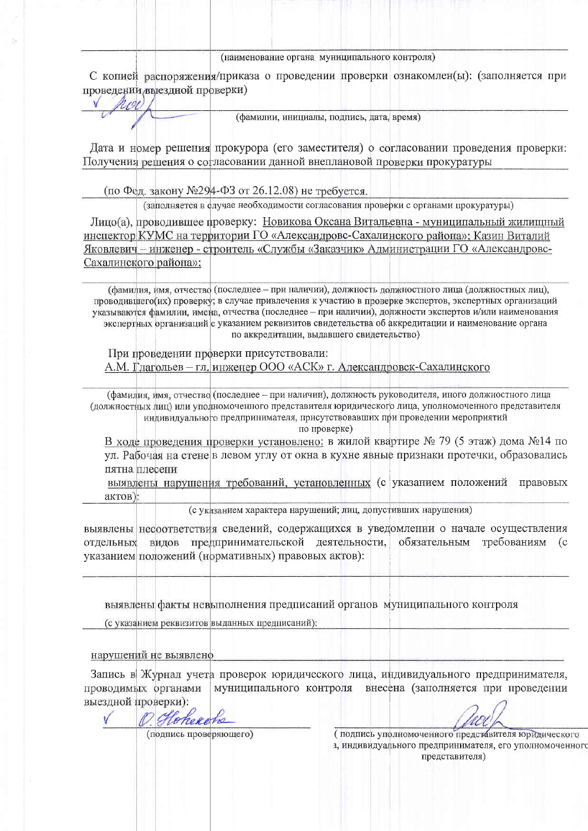## (наименование органа муниципального контроля)

С копией распоряжения/приказа о проведении проверки ознакомлен(ы): (заполняется при проведении выездной проверки)

(фамилии, инициалы, подпись, дата, время)

Дата и номер решения прокурора (его заместителя) о согласовании проведения проверки: Получения решения о согласовании данной внеплановой проверки прокуратуры

(по Фед. закону №294-ФЗ от 26.12.08) не требуется.

101

(заполняется в елучае необходимости согласования проверки с органами прокуратуры)

Лицо(а), проводившее проверку: Новикова Оксана Витальевна - муниципальный жилищный инспектор КУМС на территории ГО «Александровс-Сахалинского района»; Казин Виталий Яковлевич - инженер - строитель «Службы «Заказчик» Администрации ГО «Александровс-Сахалинского района»;

(фамилия, имя, отчество (последнее – при наличии), должность должностного лица (должностных лиц), проводившего(их) проверку; в случае привлечения к участию в проверке экспертов, экспертных организаций указываются фамилии, имена, отчества (последнее - при наличии), должности экспертов и/или наименования экспертных организаций с указанием реквизитов свидетельства об аккредитации и наименование органа по аккредитации, выдавшего свидетельство)

При проведении проверки присутствовали: А.М. Глагольев - гл. инженер ООО «АСК» г. Александровск-Сахалинского

(фамилия, имя, отчество (последнее - при наличии), должность руководителя, иного должностного лица (должностных лиц) или уполномоченного представителя юридического лица, уполномоченного представителя индивидуального предпринимателя, присутствовавших при проведении мероприятий

по проверке)

В ходе проведения проверки установлено: в жилой квартире № 79 (5 этаж) дома №14 по ул. Рабочая на стене в левом углу от окна в кухне явные признаки протечки, образовались пятна плесени

выявлены нарушения требований, установленных (с указанием положений правовых актов):

(с указанием характера нарушений; лиц, допустивших нарушения)

выявлены несоответствия сведений, содержащихся в уведомлении о начале осуществления видов предпринимательской деятельности, обязательным требованиям отдельных указанием положений (нормативных) правовых актов):

выявлены факты невыполнения предписаний органов муниципального контроля

(с указанием реквизитов выданных предписаний):

нарушений не выявленф

Запись в Журнал учета проверок юридического лица, индивидуального предпринимателя, проводимых органами муниципального контроля внесена (заполняется при проведении выездной проверки):

10 Hoheroho

(подпись проверяющего)

(подпись уполномоченного представителя юридического 1, индивидуального предпринимателя, его уполномоченного представителя)